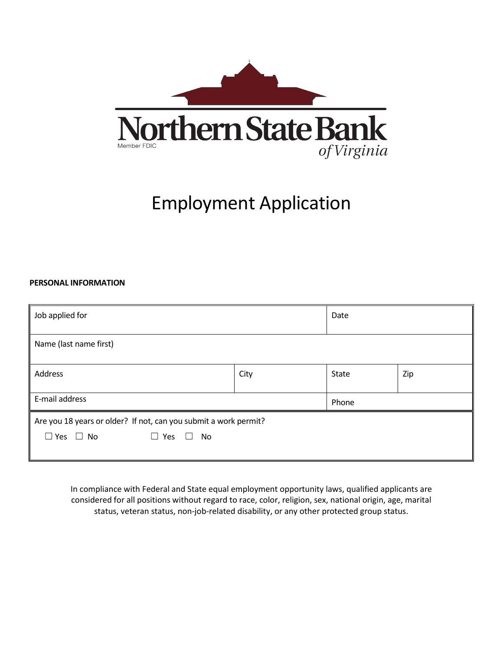

# Employment Application

#### **PERSONAL INFORMATION**

| Job applied for                                                                                                           |      | Date  |     |
|---------------------------------------------------------------------------------------------------------------------------|------|-------|-----|
| Name (last name first)                                                                                                    |      |       |     |
| Address                                                                                                                   | City |       | Zip |
| E-mail address                                                                                                            |      | Phone |     |
| Are you 18 years or older? If not, can you submit a work permit?<br>$\Box$ Yes $\Box$ No<br>No<br>Yes<br>$\Box$<br>$\Box$ |      |       |     |

In compliance with Federal and State equal employment opportunity laws, qualified applicants are considered for all positions without regard to race, color, religion, sex, national origin, age, marital status, veteran status, non-job-related disability, or any other protected group status.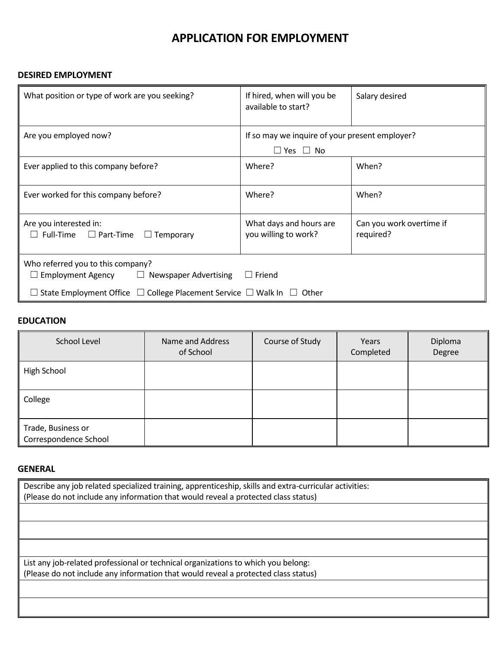## **APPLICATION FOR EMPLOYMENT**

#### **DESIRED EMPLOYMENT**

| What position or type of work are you seeking?                                                                                                                                  | If hired, when will you be<br>available to start?                      | Salary desired                        |
|---------------------------------------------------------------------------------------------------------------------------------------------------------------------------------|------------------------------------------------------------------------|---------------------------------------|
| Are you employed now?                                                                                                                                                           | If so may we inquire of your present employer?<br>$\Box$ Yes $\Box$ No |                                       |
| Ever applied to this company before?                                                                                                                                            | Where?                                                                 | When?                                 |
| Ever worked for this company before?                                                                                                                                            | Where?                                                                 | When?                                 |
| Are you interested in:<br>$\Box$ Full-Time $\Box$ Part-Time<br>$\Box$ Temporary                                                                                                 | What days and hours are<br>you willing to work?                        | Can you work overtime if<br>required? |
| Who referred you to this company?<br><b>Employment Agency</b><br>$\Box$ Newspaper Advertising<br>State Employment Office $\Box$ College Placement Service $\Box$ Walk In $\Box$ | $\Box$ Friend<br>Other                                                 |                                       |

#### **EDUCATION**

| School Level                                | Name and Address<br>of School | Course of Study | Years<br>Completed | Diploma<br>Degree |
|---------------------------------------------|-------------------------------|-----------------|--------------------|-------------------|
| <b>High School</b>                          |                               |                 |                    |                   |
| College                                     |                               |                 |                    |                   |
| Trade, Business or<br>Correspondence School |                               |                 |                    |                   |

#### **GENERAL**

| Describe any job related specialized training, apprenticeship, skills and extra-curricular activities: |  |
|--------------------------------------------------------------------------------------------------------|--|
| (Please do not include any information that would reveal a protected class status)                     |  |
|                                                                                                        |  |
|                                                                                                        |  |
|                                                                                                        |  |
|                                                                                                        |  |
| List any job-related professional or technical organizations to which you belong:                      |  |
| (Please do not include any information that would reveal a protected class status)                     |  |
|                                                                                                        |  |
|                                                                                                        |  |
|                                                                                                        |  |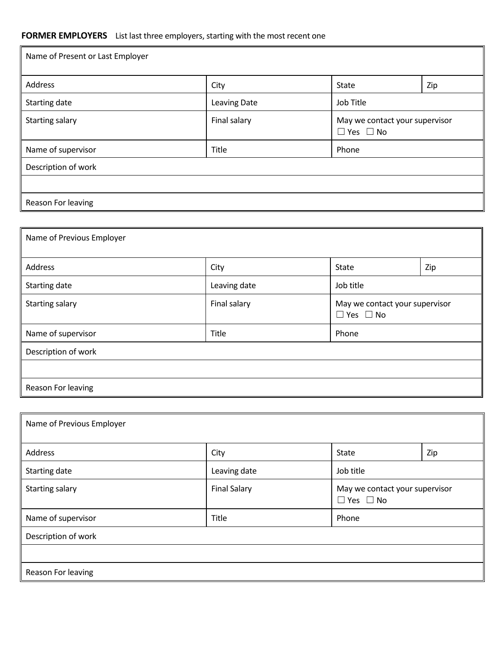### **FORMER EMPLOYERS** List last three employers, starting with the most recent one

| Name of Present or Last Employer |                     |                                                        |     |
|----------------------------------|---------------------|--------------------------------------------------------|-----|
| Address                          | City                | State                                                  | Zip |
| Starting date                    | <b>Leaving Date</b> | Job Title                                              |     |
| <b>Starting salary</b>           | Final salary        | May we contact your supervisor<br>$\Box$ Yes $\Box$ No |     |
| Name of supervisor               | Title               | Phone                                                  |     |
| Description of work              |                     |                                                        |     |
|                                  |                     |                                                        |     |
| Reason For leaving               |                     |                                                        |     |

| Name of Previous Employer |              |                      |                                |  |
|---------------------------|--------------|----------------------|--------------------------------|--|
| Address                   | City         | State                | Zip                            |  |
| Starting date             | Leaving date | Job title            |                                |  |
| <b>Starting salary</b>    | Final salary | $\Box$ Yes $\Box$ No | May we contact your supervisor |  |
| Name of supervisor        | Title        | Phone                |                                |  |
| Description of work       |              |                      |                                |  |
|                           |              |                      |                                |  |
| Reason For leaving        |              |                      |                                |  |

| Name of Previous Employer |                     |                                                        |     |
|---------------------------|---------------------|--------------------------------------------------------|-----|
| Address                   | City                | State                                                  | Zip |
| Starting date             | Leaving date        | Job title                                              |     |
| <b>Starting salary</b>    | <b>Final Salary</b> | May we contact your supervisor<br>$\Box$ Yes $\Box$ No |     |
| Name of supervisor        | Title               | Phone                                                  |     |
| Description of work       |                     |                                                        |     |
|                           |                     |                                                        |     |
| Reason For leaving        |                     |                                                        |     |